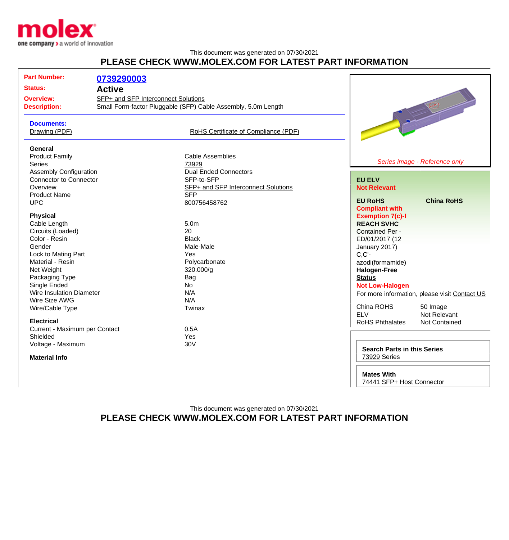

## This document was generated on 07/30/2021 **PLEASE CHECK WWW.MOLEX.COM FOR LATEST PART INFORMATION**

| <b>Part Number:</b><br><b>Status:</b><br><b>Overview:</b><br><b>Description:</b>          | 0739290003<br><b>Active</b><br>SFP+ and SFP Interconnect Solutions | Small Form-factor Pluggable (SFP) Cable Assembly, 5.0m Length    |                                                                                                 | $\begin{picture}(180,10) \put(0,0){\line(1,0){10}} \put(10,0){\line(1,0){10}} \put(10,0){\line(1,0){10}} \put(10,0){\line(1,0){10}} \put(10,0){\line(1,0){10}} \put(10,0){\line(1,0){10}} \put(10,0){\line(1,0){10}} \put(10,0){\line(1,0){10}} \put(10,0){\line(1,0){10}} \put(10,0){\line(1,0){10}} \put(10,0){\line(1,0){10}} \put(10,0){\line($ |
|-------------------------------------------------------------------------------------------|--------------------------------------------------------------------|------------------------------------------------------------------|-------------------------------------------------------------------------------------------------|-----------------------------------------------------------------------------------------------------------------------------------------------------------------------------------------------------------------------------------------------------------------------------------------------------------------------------------------------------|
| <b>Documents:</b><br>Drawing (PDF)                                                        |                                                                    | RoHS Certificate of Compliance (PDF)                             |                                                                                                 |                                                                                                                                                                                                                                                                                                                                                     |
| <b>General</b><br><b>Product Family</b><br><b>Series</b><br><b>Assembly Configuration</b> |                                                                    | <b>Cable Assemblies</b><br>73929<br><b>Dual Ended Connectors</b> |                                                                                                 | Series image - Reference only                                                                                                                                                                                                                                                                                                                       |
| <b>Connector to Connector</b>                                                             |                                                                    | SFP-to-SFP                                                       | <b>EU ELV</b>                                                                                   |                                                                                                                                                                                                                                                                                                                                                     |
| Overview                                                                                  |                                                                    | SFP+ and SFP Interconnect Solutions                              | <b>Not Relevant</b>                                                                             |                                                                                                                                                                                                                                                                                                                                                     |
| <b>Product Name</b>                                                                       |                                                                    | <b>SFP</b>                                                       |                                                                                                 |                                                                                                                                                                                                                                                                                                                                                     |
| <b>UPC</b>                                                                                |                                                                    | 800756458762                                                     | <b>EU RoHS</b>                                                                                  | <b>China RoHS</b>                                                                                                                                                                                                                                                                                                                                   |
| <b>Physical</b><br>Cable Length<br>Circuits (Loaded)                                      |                                                                    | 5.0 <sub>m</sub><br>20                                           | <b>Compliant with</b><br><b>Exemption 7(c)-I</b><br><b>REACH SVHC</b><br><b>Contained Per -</b> |                                                                                                                                                                                                                                                                                                                                                     |
| Color - Resin                                                                             |                                                                    | <b>Black</b>                                                     | ED/01/2017 (12                                                                                  |                                                                                                                                                                                                                                                                                                                                                     |
| Gender                                                                                    |                                                                    | Male-Male                                                        | January 2017)                                                                                   |                                                                                                                                                                                                                                                                                                                                                     |
| Lock to Mating Part                                                                       |                                                                    | Yes                                                              | $C, C'$ -                                                                                       |                                                                                                                                                                                                                                                                                                                                                     |
| Material - Resin                                                                          |                                                                    | Polycarbonate                                                    | azodi(formamide)                                                                                |                                                                                                                                                                                                                                                                                                                                                     |
| Net Weight                                                                                |                                                                    | 320.000/g                                                        | <b>Halogen-Free</b>                                                                             |                                                                                                                                                                                                                                                                                                                                                     |
| Packaging Type                                                                            |                                                                    | Bag                                                              | <b>Status</b>                                                                                   |                                                                                                                                                                                                                                                                                                                                                     |
| Single Ended                                                                              |                                                                    | <b>No</b>                                                        | <b>Not Low-Halogen</b>                                                                          |                                                                                                                                                                                                                                                                                                                                                     |
| <b>Wire Insulation Diameter</b>                                                           |                                                                    | N/A                                                              |                                                                                                 | For more information, please visit Contact US                                                                                                                                                                                                                                                                                                       |
| Wire Size AWG                                                                             |                                                                    | N/A                                                              |                                                                                                 |                                                                                                                                                                                                                                                                                                                                                     |
| Wire/Cable Type                                                                           |                                                                    | Twinax                                                           | China ROHS<br><b>ELV</b>                                                                        | 50 Image<br>Not Relevant                                                                                                                                                                                                                                                                                                                            |
| <b>Electrical</b>                                                                         |                                                                    |                                                                  | <b>RoHS Phthalates</b>                                                                          | Not Contained                                                                                                                                                                                                                                                                                                                                       |
| Current - Maximum per Contact                                                             |                                                                    | 0.5A                                                             |                                                                                                 |                                                                                                                                                                                                                                                                                                                                                     |
| Shielded                                                                                  |                                                                    | Yes                                                              |                                                                                                 |                                                                                                                                                                                                                                                                                                                                                     |
| Voltage - Maximum<br><b>Material Info</b>                                                 |                                                                    | 30V                                                              | <b>Search Parts in this Series</b><br>73929 Series                                              |                                                                                                                                                                                                                                                                                                                                                     |

**Mates With**

[74441](http://www.molex.com/molex/search/partSearch?pQuery=&sType=s&query=74441) SFP+ Host Connector

This document was generated on 07/30/2021 **PLEASE CHECK WWW.MOLEX.COM FOR LATEST PART INFORMATION**